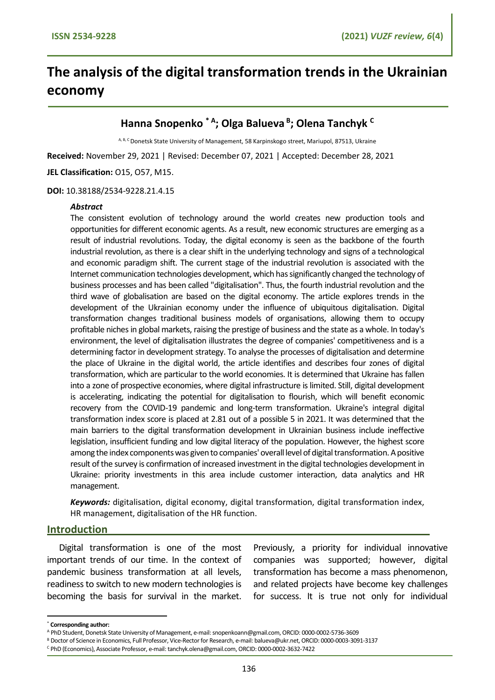# **The analysis of the digital transformation trends in the Ukrainian economy**

## **Hanna Snopenko \* <sup>А</sup> ; Olga Balueva <sup>B</sup> ; Olena Tanchyk <sup>C</sup>**

A, B, C Donetsk State University of Management, 58 Karpinskogo street, Mariupol, 87513, Ukraine

**Received:** November 29, 2021 | Revised: December 07, 2021 | Accepted: December 28, 2021

**JEL Classification:** O15, O57, M15.

#### **DOI:** 10.38188/2534-9228.21.4.15

#### *Abstract*

The consistent evolution of technology around the world creates new production tools and opportunities for different economic agents. As a result, new economic structures are emerging as a result of industrial revolutions. Today, the digital economy is seen as the backbone of the fourth industrial revolution, as there is a clear shift in the underlying technology and signs of a technological and economic paradigm shift. The current stage of the industrial revolution is associated with the Internet communication technologies development, which has significantly changed the technology of business processes and has been called "digitalisation". Thus, the fourth industrial revolution and the third wave of globalisation are based on the digital economy. The article explores trends in the development of the Ukrainian economy under the influence of ubiquitous digitalisation. Digital transformation changes traditional business models of organisations, allowing them to occupy profitable niches in global markets, raising the prestige of business and the state as a whole. In today's environment, the level of digitalisation illustrates the degree of companies' competitiveness and is a determining factor in development strategy. To analyse the processes of digitalisation and determine the place of Ukraine in the digital world, the article identifies and describes four zones of digital transformation, which are particular to the world economies. It is determined that Ukraine has fallen into a zone of prospective economies, where digital infrastructure is limited. Still, digital development is accelerating, indicating the potential for digitalisation to flourish, which will benefit economic recovery from the COVID-19 pandemic and long-term transformation. Ukraine's integral digital transformation index score is placed at 2.81 out of a possible 5 in 2021. It was determined that the main barriers to the digital transformation development in Ukrainian business include ineffective legislation, insufficient funding and low digital literacy of the population. However, the highest score among the index components was given to companies' overall level of digital transformation. A positive result of the survey is confirmation of increased investment in the digital technologies development in Ukraine: priority investments in this area include customer interaction, data analytics and HR management.

*Keywords:* digitalisation, digital economy, digital transformation, digital transformation index, HR management, digitalisation of the HR function.

#### **Introduction**

Digital transformation is one of the most important trends of our time. In the context of pandemic business transformation at all levels, readiness to switch to new modern technologies is becoming the basis for survival in the market.

Previously, a priority for individual innovative companies was supported; however, digital transformation has become a mass phenomenon, and related projects have become key challenges for success. It is true not only for individual

<sup>\*</sup> **Corresponding author:** 

<sup>A</sup> PhD Student, Donetsk State University of Management, e-mail: snopenkoann@gmail.com, ORCID: 0000-0002-5736-3609

<sup>B</sup> Doctor of Science in Economics, Full Professor, Vice-Rector for Research, e-mail: balueva@ukr.net, ORCID: 0000-0003-3091-3137

<sup>C</sup> PhD (Economics), Associate Professor, e-mail: tanchyk.olena@gmail.com, ORCID: 0000-0002-3632-7422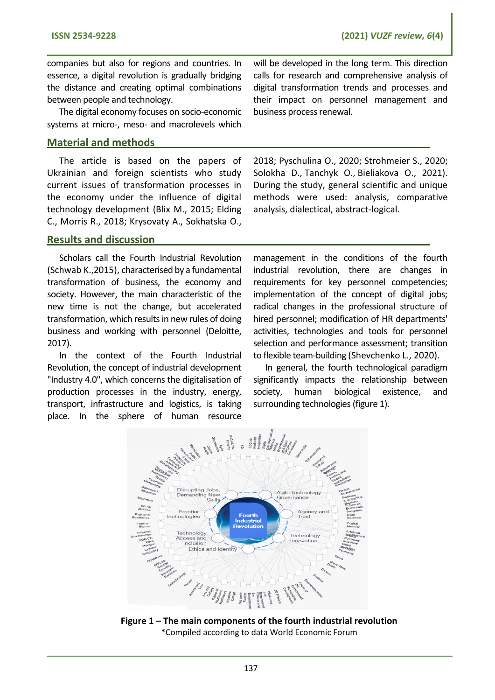companies but also for regions and countries. In essence, a digital revolution is gradually bridging the distance and creating optimal combinations between people and technology.

The digital economy focuses on socio-economic systems at micro-, meso- and macrolevels which

## **Material and methods**

The article is based on the papers of Ukrainian and foreign scientists who study current issues of transformation processes in the economy under the influence of digital technology development (Blix M., 2015; Elding C., Morris R., 2018; Krysovaty A., Sokhatska O., will be developed in the long term. This direction calls for research and comprehensive analysis of digital transformation trends and processes and their impact on personnel management and business process renewal.

2018; Pyschulina O., 2020; Strohmeier S., 2020; Solokha D., Tanchyk O., Bieliakova O., 2021). During the study, general scientific and unique methods were used: analysis, comparative analysis, dialectical, abstract-logical.

### **Results and discussion**

Scholars call the Fourth Industrial Revolution (Schwab K.,2015), characterised by a fundamental transformation of business, the economy and society. However, the main characteristic of the new time is not the change, but accelerated transformation, which results in new rules of doing business and working with personnel (Deloitte, 2017).

In the context of the Fourth Industrial Revolution, the concept of industrial development "Industry 4.0", which concerns the digitalisation of production processes in the industry, energy, transport, infrastructure and logistics, is taking

management in the conditions of the fourth industrial revolution, there are changes in requirements for key personnel competencies; implementation of the concept of digital jobs; radical changes in the professional structure of hired personnel; modification of HR departments' activities, technologies and tools for personnel selection and performance assessment; transition to flexible team-building (Shevchenko L., 2020).

In general, the fourth technological paradigm significantly impacts the relationship between society, human biological existence, and surrounding technologies (figure 1).



**Figure 1 – The main components of the fourth industrial revolution** \*Compiled according to data World Economic Forum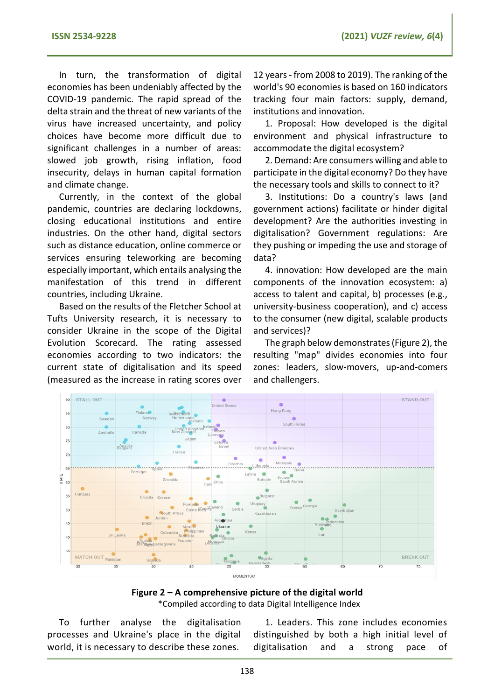In turn, the transformation of digital economies has been undeniably affected by the COVID-19 pandemic. The rapid spread of the delta strain and the threat of new variants of the virus have increased uncertainty, and policy choices have become more difficult due to significant challenges in a number of areas: slowed job growth, rising inflation, food insecurity, delays in human capital formation and climate change.

Currently, in the context of the global pandemic, countries are declaring lockdowns, closing educational institutions and entire industries. On the other hand, digital sectors such as distance education, online commerce or services ensuring teleworking are becoming especially important, which entails analysing the manifestation of this trend in different countries, including Ukraine.

Based on the results of the Fletcher School at Tufts University research, it is necessary to consider Ukraine in the scope of the Digital Evolution Scorecard. The rating assessed economies according to two indicators: the current state of digitalisation and its speed (measured as the increase in rating scores over

12 years - from 2008 to 2019). The ranking of the world's 90 economies is based on 160 indicators tracking four main factors: supply, demand, institutions and innovation.

1. Proposal: How developed is the digital environment and physical infrastructure to accommodate the digital ecosystem?

2. Demand: Are consumers willing and able to participate in the digital economy? Do they have the necessary tools and skills to connect to it?

3. Institutions: Do a country's laws (and government actions) facilitate or hinder digital development? Are the authorities investing in digitalisation? Government regulations: Are they pushing or impeding the use and storage of data?

4. innovation: How developed are the main components of the innovation ecosystem: a) access to talent and capital, b) processes (e.g., university-business cooperation), and c) access to the consumer (new digital, scalable products and services)?

The graph below demonstrates (Figure 2), the resulting "map" divides economies into four zones: leaders, slow-movers, up-and-comers and challengers.



**Figure 2 – A comprehensive picture of the digital world** \*Compiled according to data Digital Intelligence Index

To further analyse the digitalisation processes and Ukraine's place in the digital world, it is necessary to describe these zones.

1. Leaders. This zone includes economies distinguished by both a high initial level of digitalisation and a strong pace of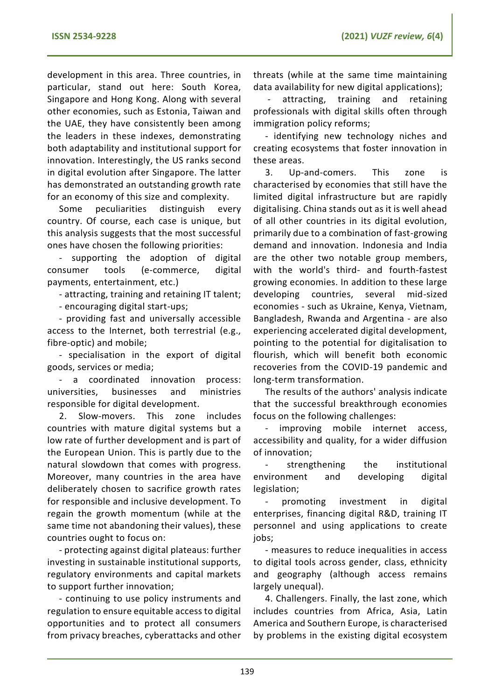development in this area. Three countries, in particular, stand out here: South Korea, Singapore and Hong Kong. Along with several other economies, such as Estonia, Taiwan and the UAE, they have consistently been among the leaders in these indexes, demonstrating both adaptability and institutional support for innovation. Interestingly, the US ranks second in digital evolution after Singapore. The latter has demonstrated an outstanding growth rate for an economy of this size and complexity.

Some peculiarities distinguish every country. Of course, each case is unique, but this analysis suggests that the most successful ones have chosen the following priorities:

- supporting the adoption of digital consumer tools (e-commerce, digital payments, entertainment, etc.)

- attracting, training and retaining IT talent;

- encouraging digital start-ups;

- providing fast and universally accessible access to the Internet, both terrestrial (e.g., fibre-optic) and mobile;

- specialisation in the export of digital goods, services or media;

- a coordinated innovation process: universities, businesses and ministries responsible for digital development.

2. Slow-movers. This zone includes countries with mature digital systems but a low rate of further development and is part of the European Union. This is partly due to the natural slowdown that comes with progress. Moreover, many countries in the area have deliberately chosen to sacrifice growth rates for responsible and inclusive development. To regain the growth momentum (while at the same time not abandoning their values), these countries ought to focus on:

- protecting against digital plateaus: further investing in sustainable institutional supports, regulatory environments and capital markets to support further innovation;

- continuing to use policy instruments and regulation to ensure equitable access to digital opportunities and to protect all consumers from privacy breaches, cyberattacks and other threats (while at the same time maintaining data availability for new digital applications);

- attracting, training and retaining professionals with digital skills often through immigration policy reforms;

- identifying new technology niches and creating ecosystems that foster innovation in these areas.

3. Up-and-comers. This zone is characterised by economies that still have the limited digital infrastructure but are rapidly digitalising. China stands out as it is well ahead of all other countries in its digital evolution, primarily due to a combination of fast-growing demand and innovation. Indonesia and India are the other two notable group members, with the world's third- and fourth-fastest growing economies. In addition to these large developing countries, several mid-sized economies - such as Ukraine, Kenya, Vietnam, Bangladesh, Rwanda and Argentina - are also experiencing accelerated digital development, pointing to the potential for digitalisation to flourish, which will benefit both economic recoveries from the COVID-19 pandemic and long-term transformation.

The results of the authors' analysis indicate that the successful breakthrough economies focus on the following challenges:

improving mobile internet access, accessibility and quality, for a wider diffusion of innovation;

strengthening the institutional environment and developing digital legislation;

promoting investment in digital enterprises, financing digital R&D, training IT personnel and using applications to create jobs;

- measures to reduce inequalities in access to digital tools across gender, class, ethnicity and geography (although access remains largely unequal).

4. Challengers. Finally, the last zone, which includes countries from Africa, Asia, Latin America and Southern Europe, is characterised by problems in the existing digital ecosystem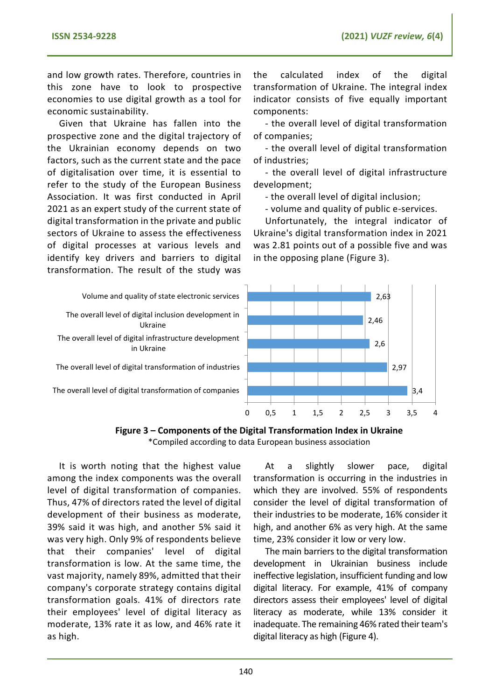and low growth rates. Therefore, countries in this zone have to look to prospective economies to use digital growth as a tool for economic sustainability.

Given that Ukraine has fallen into the prospective zone and the digital trajectory of the Ukrainian economy depends on two factors, such as the current state and the pace of digitalisation over time, it is essential to refer to the study of the European Business Association. It was first conducted in April 2021 as an expert study of the current state of digital transformation in the private and public sectors of Ukraine to assess the effectiveness of digital processes at various levels and identify key drivers and barriers to digital transformation. The result of the study was

in Ukraine

Ukraine

the calculated index of the digital transformation of Ukraine. The integral index indicator consists of five equally important components:

- the overall level of digital transformation of companies;

- the overall level of digital transformation of industries;

- the overall level of digital infrastructure development;

- the overall level of digital inclusion;

- volume and quality of public e-services.

Unfortunately, the integral indicator of Ukraine's digital transformation index in 2021 was 2.81 points out of a possible five and was in the opposing plane (Figure 3).



**Figure 3 – Components of the Digital Transformation Index in Ukraine** \*Compiled according to data European business association

It is worth noting that the highest value among the index components was the overall level of digital transformation of companies. Thus, 47% of directors rated the level of digital development of their business as moderate, 39% said it was high, and another 5% said it was very high. Only 9% of respondents believe that their companies' level of digital transformation is low. At the same time, the vast majority, namely 89%, admitted that their company's corporate strategy contains digital transformation goals. 41% of directors rate their employees' level of digital literacy as moderate, 13% rate it as low, and 46% rate it as high.

At a slightly slower pace, digital transformation is occurring in the industries in which they are involved. 55% of respondents consider the level of digital transformation of their industries to be moderate, 16% consider it high, and another 6% as very high. At the same time, 23% consider it low or very low.

The main barriers to the digital transformation development in Ukrainian business include ineffective legislation, insufficient funding and low digital literacy. For example, 41% of company directors assess their employees' level of digital literacy as moderate, while 13% consider it inadequate. The remaining 46% rated their team's digital literacy as high (Figure 4).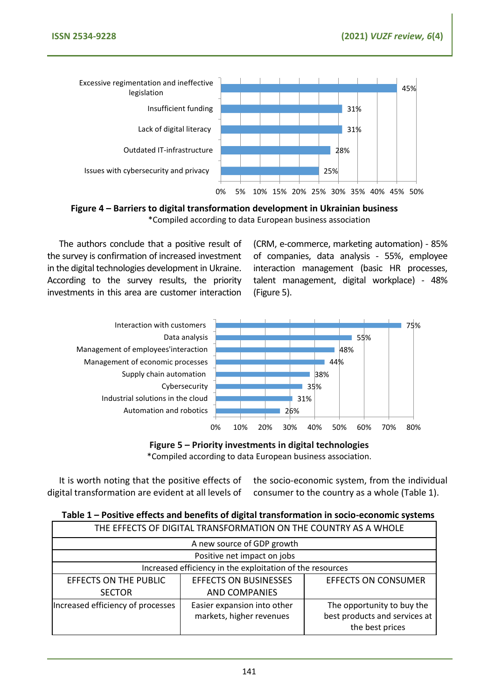

**Figure 4 – Barriers to digital transformation development in Ukrainian business** \*Compiled according to data European business association

The authors conclude that a positive result of the survey is confirmation of increased investment in the digital technologies development in Ukraine. According to the survey results, the priority investments in this area are customer interaction

(CRM, e-commerce, marketing automation) - 85% of companies, data analysis - 55%, employee interaction management (basic HR processes, talent management, digital workplace) - 48% (Figure 5).



**Figure 5 – Priority investments in digital technologies** \*Compiled according to data European business association.

It is worth noting that the positive effects of digital transformation are evident at all levels of

the socio-economic system, from the individual consumer to the country as a whole (Table 1).

|                                   |                                                                 | <b>TWEE</b> TOSHING CHOCG GIN BOILING OF GISTOL HUISTOITING ON HIS SOCIO COONDITIIO SYSTOMS |  |
|-----------------------------------|-----------------------------------------------------------------|---------------------------------------------------------------------------------------------|--|
|                                   | THE EFFECTS OF DIGITAL TRANSFORMATION ON THE COUNTRY AS A WHOLE |                                                                                             |  |
| A new source of GDP growth        |                                                                 |                                                                                             |  |
| Positive net impact on jobs       |                                                                 |                                                                                             |  |
|                                   | Increased efficiency in the exploitation of the resources       |                                                                                             |  |
| <b>EFFECTS ON THE PUBLIC</b>      | <b>EFFECTS ON BUSINESSES</b>                                    | <b>EFFECTS ON CONSUMER</b>                                                                  |  |
| <b>SECTOR</b>                     | <b>AND COMPANIES</b>                                            |                                                                                             |  |
| Increased efficiency of processes | Easier expansion into other<br>markets, higher revenues         | The opportunity to buy the<br>best products and services at                                 |  |
|                                   |                                                                 | the best prices                                                                             |  |

**Table 1 – Positive effects and benefits of digital transformation in socio-economic systems**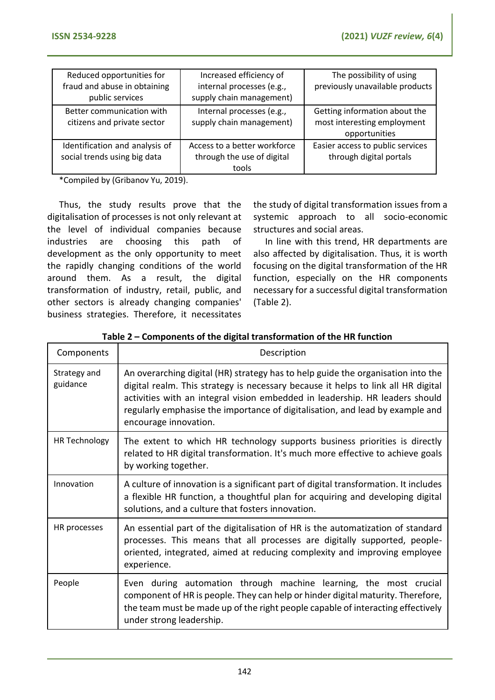| Reduced opportunities for<br>fraud and abuse in obtaining<br>public services | Increased efficiency of<br>internal processes (e.g.,<br>supply chain management) | The possibility of using<br>previously unavailable products                   |
|------------------------------------------------------------------------------|----------------------------------------------------------------------------------|-------------------------------------------------------------------------------|
| Better communication with<br>citizens and private sector                     | Internal processes (e.g.,<br>supply chain management)                            | Getting information about the<br>most interesting employment<br>opportunities |
| Identification and analysis of<br>social trends using big data               | Access to a better workforce<br>through the use of digital<br>tools              | Easier access to public services<br>through digital portals                   |

\*Compiled by (Gribanov Yu, 2019).

Thus, the study results prove that the digitalisation of processes is not only relevant at the level of individual companies because industries are choosing this path of development as the only opportunity to meet the rapidly changing conditions of the world around them. As a result, the digital transformation of industry, retail, public, and other sectors is already changing companies' business strategies. Therefore, it necessitates

the study of digital transformation issues from a systemic approach to all socio-economic structures and social areas.

In line with this trend, HR departments are also affected by digitalisation. Thus, it is worth focusing on the digital transformation of the HR function, especially on the HR components necessary for a successful digital transformation (Table 2).

| Components               | Description                                                                                                                                                                                                                                                                                                                                                     |
|--------------------------|-----------------------------------------------------------------------------------------------------------------------------------------------------------------------------------------------------------------------------------------------------------------------------------------------------------------------------------------------------------------|
| Strategy and<br>guidance | An overarching digital (HR) strategy has to help guide the organisation into the<br>digital realm. This strategy is necessary because it helps to link all HR digital<br>activities with an integral vision embedded in leadership. HR leaders should<br>regularly emphasise the importance of digitalisation, and lead by example and<br>encourage innovation. |
| HR Technology            | The extent to which HR technology supports business priorities is directly<br>related to HR digital transformation. It's much more effective to achieve goals<br>by working together.                                                                                                                                                                           |
| Innovation               | A culture of innovation is a significant part of digital transformation. It includes<br>a flexible HR function, a thoughtful plan for acquiring and developing digital<br>solutions, and a culture that fosters innovation.                                                                                                                                     |
| HR processes             | An essential part of the digitalisation of HR is the automatization of standard<br>processes. This means that all processes are digitally supported, people-<br>oriented, integrated, aimed at reducing complexity and improving employee<br>experience.                                                                                                        |
| People                   | Even during automation through machine learning, the most crucial<br>component of HR is people. They can help or hinder digital maturity. Therefore,<br>the team must be made up of the right people capable of interacting effectively<br>under strong leadership.                                                                                             |

**Table 2 – Components of the digital transformation of the HR function**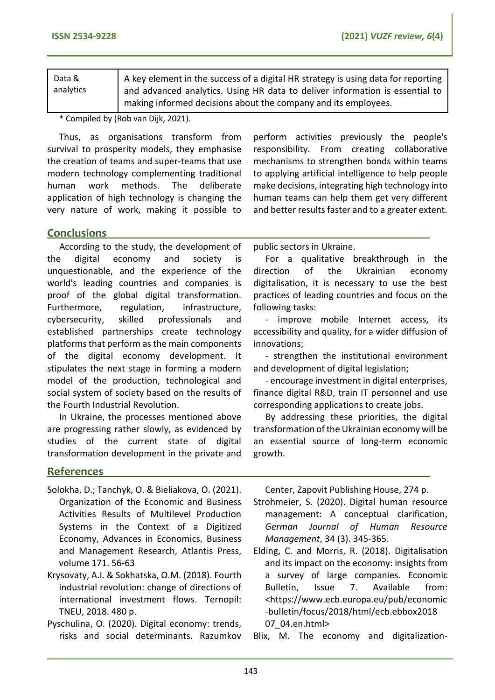| Data &    | A key element in the success of a digital HR strategy is using data for reporting |
|-----------|-----------------------------------------------------------------------------------|
| analytics | and advanced analytics. Using HR data to deliver information is essential to      |
|           | making informed decisions about the company and its employees.                    |

\* Compiled by (Rob van Dijk, 2021).

Thus, as organisations transform from survival to prosperity models, they emphasise the creation of teams and super-teams that use modern technology complementing traditional human work methods. The deliberate application of high technology is changing the very nature of work, making it possible to

perform activities previously the people's responsibility. From creating collaborative mechanisms to strengthen bonds within teams to applying artificial intelligence to help people make decisions, integrating high technology into human teams can help them get very different and better results faster and to a greater extent.

## **Conclusions**

According to the study, the development of the digital economy and society is unquestionable, and the experience of the world's leading countries and companies is proof of the global digital transformation. Furthermore, regulation, infrastructure, cybersecurity, skilled professionals and established partnerships create technology platforms that perform as the main components of the digital economy development. It stipulates the next stage in forming a modern model of the production, technological and social system of society based on the results of the Fourth Industrial Revolution.

In Ukraine, the processes mentioned above are progressing rather slowly, as evidenced by studies of the current state of digital transformation development in the private and public sectors in Ukraine.

For a qualitative breakthrough in the direction of the Ukrainian economy digitalisation, it is necessary to use the best practices of leading countries and focus on the following tasks:

- improve mobile Internet access, its accessibility and quality, for a wider diffusion of innovations;

- strengthen the institutional environment and development of digital legislation;

- encourage investment in digital enterprises, finance digital R&D, train IT personnel and use corresponding applications to create jobs.

By addressing these priorities, the digital transformation of the Ukrainian economy will be an essential source of long-term economic growth.

## **References**

- Solokha, D.; Tanchyk, O. & Bieliakova, O. (2021). Organization of the Economic and Business Activities Results of Multilevel Production Systems in the Context of a Digitized Economy, Advances in Economics, Business and Management Research, Atlantis Press, volume 171. 56-63
- Krysovaty, A.I. & Sokhatska, O.M. (2018). Fourth industrial revolution: change of directions of international investment flows. Ternopil: TNEU, 2018. 480 p.
- Pyschulina, O. (2020). Digital economy: trends, risks and social determinants. Razumkov

Center, Zapovit Publishing House, 274 p.

Strohmeier, S. (2020). Digital human resource management: A conceptual clarification, *German Journal of Human Resource Management*, 34 (3). 345-365.

Elding, C. and Morris, R. (2018). Digitalisation and its impact on the economy: insights from a survey of large companies. Economic Bulletin, Issue 7. Available from: <https://www.ecb.europa.eu/pub/economic -bulletin/focus/2018/html/ecb.ebbox2018 07\_04.en.html>

Blix, M. The economy and digitalization-